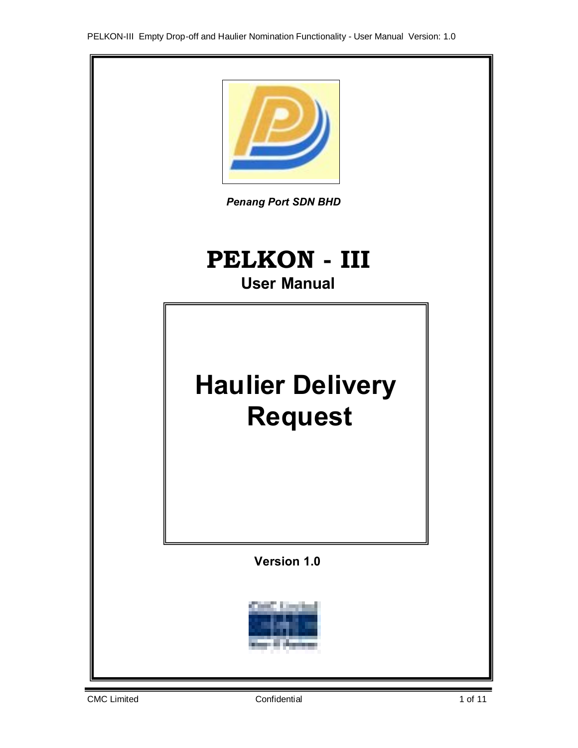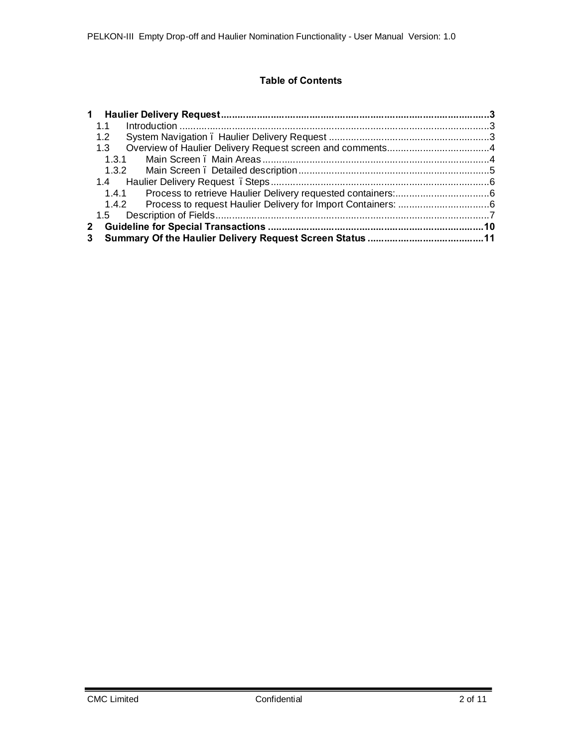# **Table of Contents**

| $\mathbf 1$      |  |  |  |  |  |  |  |
|------------------|--|--|--|--|--|--|--|
| 1.1              |  |  |  |  |  |  |  |
| 1.2 <sub>2</sub> |  |  |  |  |  |  |  |
| 1.3              |  |  |  |  |  |  |  |
| 1.31             |  |  |  |  |  |  |  |
|                  |  |  |  |  |  |  |  |
|                  |  |  |  |  |  |  |  |
| 1.4.1            |  |  |  |  |  |  |  |
|                  |  |  |  |  |  |  |  |
| 1.5              |  |  |  |  |  |  |  |
| $\mathbf{2}$     |  |  |  |  |  |  |  |
| 3                |  |  |  |  |  |  |  |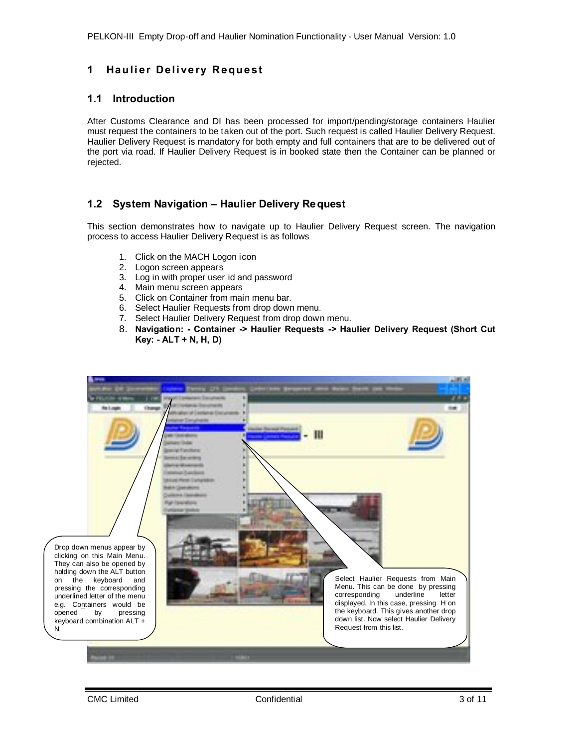# **1 Haulier Delivery Request**

# **1.1 Introduction**

After Customs Clearance and DI has been processed for import/pending/storage containers Haulier must request the containers to be taken out of the port. Such request is called Haulier Delivery Request. Haulier Delivery Request is mandatory for both empty and full containers that are to be delivered out of the port via road. If Haulier Delivery Request is in booked state then the Container can be planned or rejected.

# **1.2 System Navigation – Haulier Delivery Request**

This section demonstrates how to navigate up to Haulier Delivery Request screen. The navigation process to access Haulier Delivery Request is as follows

- 1. Click on the MACH Logon icon
- 2. Logon screen appears
- 3. Log in with proper user id and password
- 4. Main menu screen appears
- 5. Click on Container from main menu bar.
- 6. Select Haulier Requests from drop down menu.
- 7. Select Haulier Delivery Request from drop down menu.
- <span id="page-2-1"></span><span id="page-2-0"></span>8. **Navigation: - Container -> Haulier Requests -> Haulier Delivery Request (Short Cut Key: - ALT + N, H, D)**

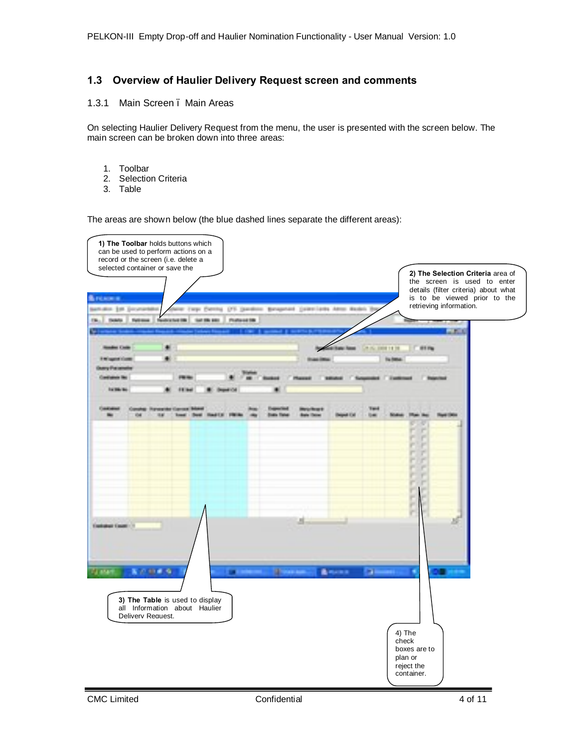# **1.3 Overview of Haulier Delivery Request screen and comments**

#### 1.3.1 Main Screen – Main Areas

On selecting Haulier Delivery Request from the menu, the user is presented with the screen below. The main screen can be broken down into three areas:

- 1. Toolbar
- 2. Selection Criteria<br>3. Table
- **Table**

The areas are shown below (the blue dashed lines separate the different areas):

<span id="page-3-1"></span><span id="page-3-0"></span>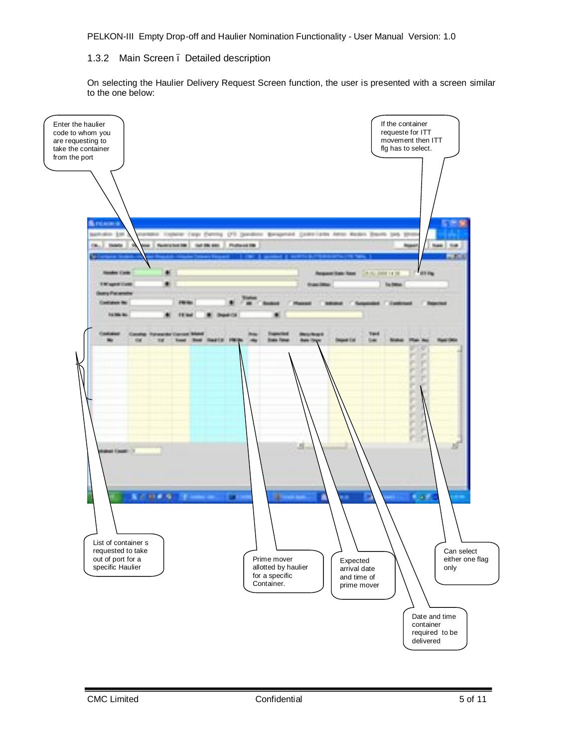## 1.3.2 Main Screen – Detailed description

<span id="page-4-0"></span>On selecting the Haulier Delivery Request Screen function, the user is presented with a screen similar to the one below:

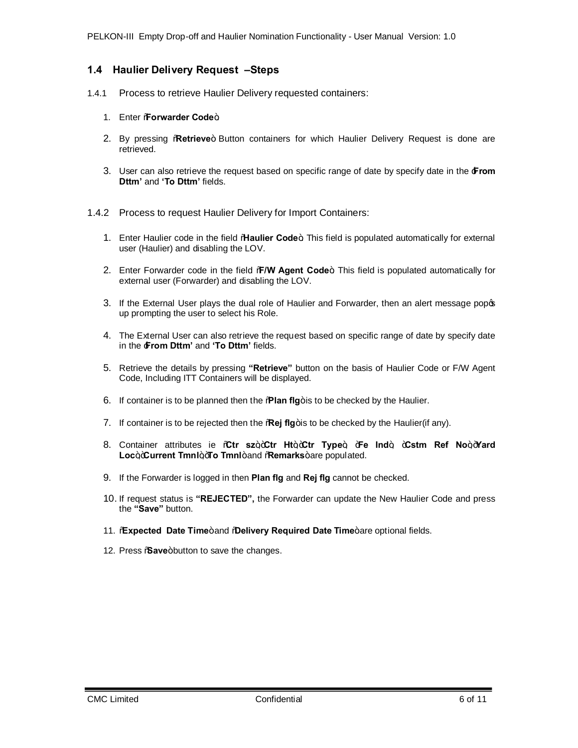# **1.4 Haulier Delivery Request –Steps**

- 1.4.1 Process to retrieve Haulier Delivery requested containers:
	- 1. Enter *Forwarder* Code+
	- 2. By pressing **Retrieve**+ Button containers for which Haulier Delivery Request is done are retrieved.
	- 3. User can also retrieve the request based on specific range of date by specify date in the '**From Dttm'** and **'To Dttm'** fields.
- <span id="page-5-1"></span><span id="page-5-0"></span>1.4.2 Process to request Haulier Delivery for Import Containers:
	- 1. Enter Haulier code in the field "**Haulier Code**+ This field is populated automatically for external user (Haulier) and disabling the LOV.
	- 2. Enter Forwarder code in the field % W Agent Code+ This field is populated automatically for external user (Forwarder) and disabling the LOV.
	- 3. If the External User plays the dual role of Haulier and Forwarder, then an alert message popos up prompting the user to select his Role.
	- 4. The External User can also retrieve the request based on specific range of date by specify date in the '**From Dttm'** and **'To Dttm'** fields.
	- 5. Retrieve the details by pressing **"Retrieve"** button on the basis of Haulier Code or F/W Agent Code, Including ITT Containers will be displayed.
	- 6. If container is to be planned then the **"Rian fig**+ is to be checked by the Haulier.
	- 7. If container is to be rejected then the **Regi flg**+is to be checked by the Haulier(if any).
	- 8. Container attributes ie %Gtr sz+,+Ctr Ht+,+Ctr Type+, +Fe Ind+, +Cstm Ref No+,+Yard Loc<sub>+</sub>+Current Tmnl++To Tmnl+and %Remarks+are populated.
	- 9. If the Forwarder is logged in then **Plan flg** and **Rej flg** cannot be checked.
	- 10. If request status is **"REJECTED",** the Forwarder can update the New Haulier Code and press the **"Save"** button.
	- 11. **Expected Date Time**+and **@elivery Required Date Time**+are optional fields.
	- 12. Press *Save+button to save the changes.*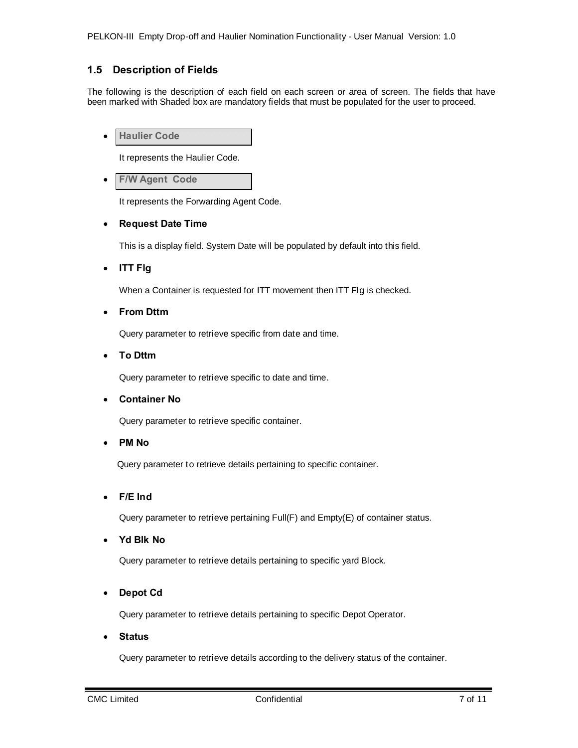# **1.5 Description of Fields**

The following is the description of each field on each screen or area of screen. The fields that have been marked with Shaded box are mandatory fields that must be populated for the user to proceed.

· **Haulier Code**

It represents the Haulier Code.

**F/W Agent Code** 

It represents the Forwarding Agent Code.

#### · **Request Date Time**

This is a display field. System Date will be populated by default into this field.

· **ITT Flg**

When a Container is requested for ITT movement then ITT Flg is checked.

· **From Dttm** 

Query parameter to retrieve specific from date and time.

· **To Dttm** 

Query parameter to retrieve specific to date and time.

· **Container No**

Query parameter to retrieve specific container.

· **PM No**

Query parameter to retrieve details pertaining to specific container.

· **F/E Ind**

Query parameter to retrieve pertaining Full(F) and Empty(E) of container status.

· **Yd Blk No**

Query parameter to retrieve details pertaining to specific yard Block.

· **Depot Cd**

Query parameter to retrieve details pertaining to specific Depot Operator.

· **Status**

<span id="page-6-0"></span>Query parameter to retrieve details according to the delivery status of the container.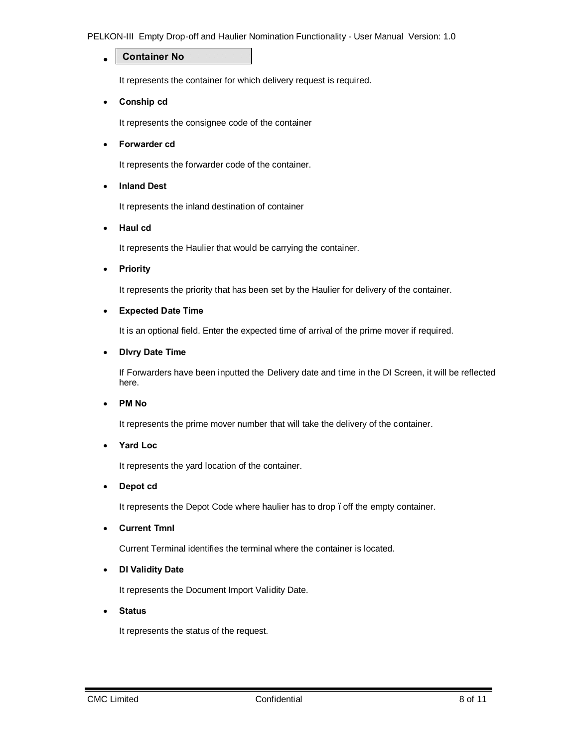#### PELKON-III Empty Drop-off and Haulier Nomination Functionality - User Manual Version: 1.0

#### · **Container No**

It represents the container for which delivery request is required.

· **Conship cd**

It represents the consignee code of the container

· **Forwarder cd**

It represents the forwarder code of the container.

· **Inland Dest**

It represents the inland destination of container

· **Haul cd**

It represents the Haulier that would be carrying the container.

· **Priority**

It represents the priority that has been set by the Haulier for delivery of the container.

#### · **Expected Date Time**

It is an optional field. Enter the expected time of arrival of the prime mover if required.

#### · **Dlvry Date Time**

If Forwarders have been inputted the Delivery date and time in the DI Screen, it will be reflected here.

#### · **PM No**

It represents the prime mover number that will take the delivery of the container.

#### · **Yard Loc**

It represents the yard location of the container.

#### · **Depot cd**

It represents the Depot Code where haulier has to drop. off the empty container.

· **Current Tmnl**

Current Terminal identifies the terminal where the container is located.

#### · **DI Validity Date**

It represents the Document Import Validity Date.

· **Status**

It represents the status of the request.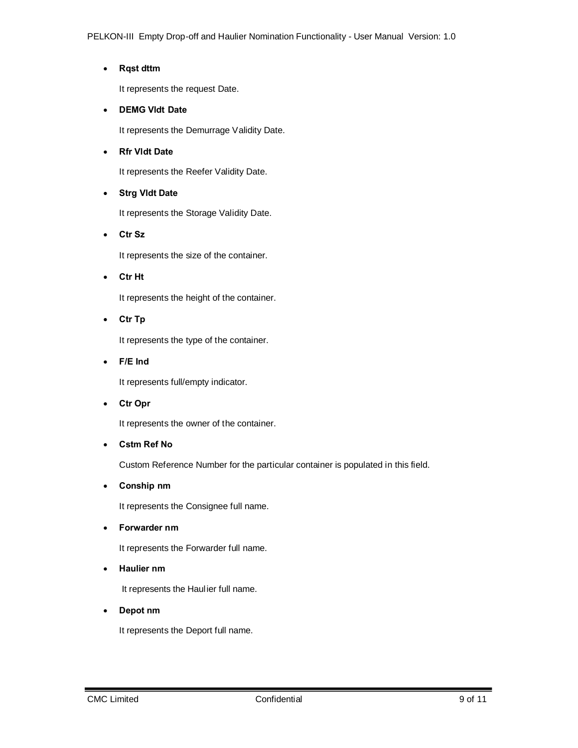# · **Rqst dttm**

It represents the request Date.

## · **DEMG Vldt Date**

It represents the Demurrage Validity Date.

### · **Rfr Vldt Date**

It represents the Reefer Validity Date.

# · **Strg Vldt Date**

It represents the Storage Validity Date.

· **Ctr Sz**

It represents the size of the container.

· **Ctr Ht**

It represents the height of the container.

· **Ctr Tp**

It represents the type of the container.

· **F/E Ind**

It represents full/empty indicator.

· **Ctr Opr**

It represents the owner of the container.

· **Cstm Ref No**

Custom Reference Number for the particular container is populated in this field.

· **Conship nm**

It represents the Consignee full name.

· **Forwarder nm**

It represents the Forwarder full name.

· **Haulier nm**

It represents the Haulier full name.

· **Depot nm**

It represents the Deport full name.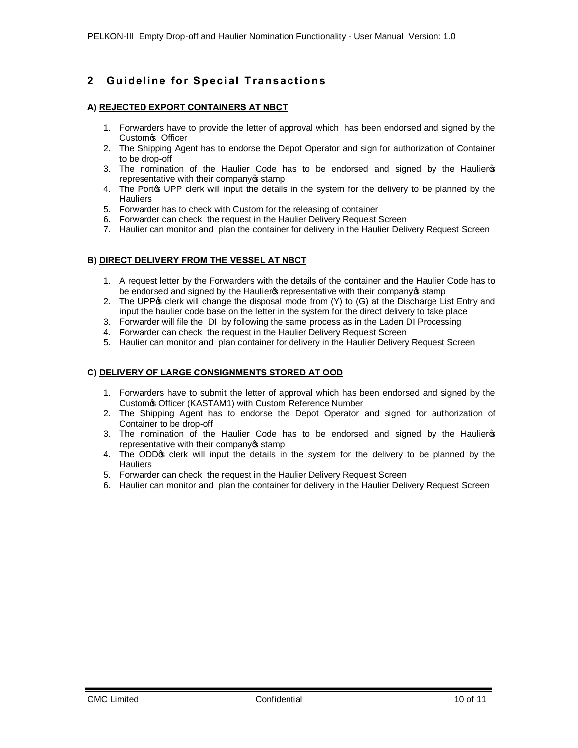# **2 Gu id e lin e fo r Sp e c ial T ra n s a c t io n s**

#### **A) REJECTED EXPORT CONTAINERS AT NBCT**

- 1. Forwarders have to provide the letter of approval which has been endorsed and signed by the Custom's Officer
- 2. The Shipping Agent has to endorse the Depot Operator and sign for authorization of Container to be drop-off
- 3. The nomination of the Haulier Code has to be endorsed and signed by the Haulier op representative with their company of stamp
- 4. The Portos UPP clerk will input the details in the system for the delivery to be planned by the **Hauliers**
- 5. Forwarder has to check with Custom for the releasing of container
- 6. Forwarder can check the request in the Haulier Delivery Request Screen
- 7. Haulier can monitor and plan the container for delivery in the Haulier Delivery Request Screen

#### **B) DIRECT DELIVERY FROM THE VESSEL AT NBCT**

- 1. A request letter by the Forwarders with the details of the container and the Haulier Code has to be endorsed and signed by the Haulier op representative with their company of stamp
- 2. The UPP $\alpha$  clerk will change the disposal mode from (Y) to (G) at the Discharge List Entry and input the haulier code base on the letter in the system for the direct delivery to take place
- 3. Forwarder will file the DI by following the same process as in the Laden DI Processing
- 4. Forwarder can check the request in the Haulier Delivery Request Screen
- 5. Haulier can monitor and plan container for delivery in the Haulier Delivery Request Screen

#### **C) DELIVERY OF LARGE CONSIGNMENTS STORED AT OOD**

- 1. Forwarders have to submit the letter of approval which has been endorsed and signed by the Custom's Officer (KASTAM1) with Custom Reference Number
- 2. The Shipping Agent has to endorse the Depot Operator and signed for authorization of Container to be drop-off
- 3. The nomination of the Haulier Code has to be endorsed and signed by the Haulieros representative with their company of stamp
- 4. The ODDG clerk will input the details in the system for the delivery to be planned by the **Hauliers**
- 5. Forwarder can check the request in the Haulier Delivery Request Screen
- <span id="page-9-0"></span>6. Haulier can monitor and plan the container for delivery in the Haulier Delivery Request Screen